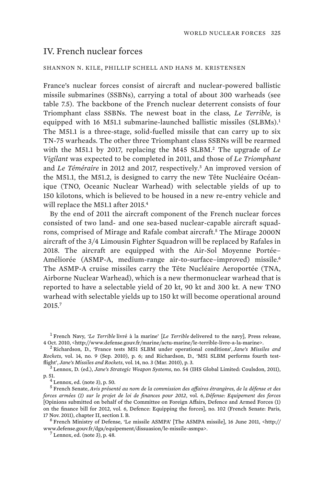## IV. French nuclear forces

## SHANNON N. KILE, PHILLIP SCHELL AND HANS M. KRISTENSEN

France's nuclear forces consist of aircraft and nuclear-powered ballistic missile submarines (SSBNs), carrying a total of about 300 warheads (see table 7.5). The backbone of the French nuclear deterrent consists of four Triomphant class SSBNs. The newest boat in the class, *Le Terrible*, is equipped with 16 M51.1 submarine-launched ballistic missiles (SLBMs).<sup>1</sup> The M51.1 is a three-stage, solid-fuelled missile that can carry up to six TN-75 warheads. The other three Triomphant class SSBNs will be rearmed with the M51.1 by 2017, replacing the M45 SLBM.<sup>2</sup> The upgrade of  $Le$ *Vigilant* was expected to be completed in 2011, and those of *Le Triomphant* and *Le Téméraire* in 2012 and 2017, respectively.<sup>3</sup> An improved version of the M51.1, the M51.2, is designed to carry the new Tête Nucléaire Océanique (TNO, Oceanic Nuclear Warhead) with selectable yields of up to 150 kilotons, which is believed to be housed in a new re-entry vehicle and will replace the M51.1 after 2015.<sup>4</sup>

By the end of 2011 the aircraft component of the French nuclear forces consisted of two land- and one sea-based nuclear-capable aircraft squadrons, comprised of Mirage and Rafale combat aircraft.<sup>5</sup> The Mirage 2000N aircraft of the 3/4 Limousin Fighter Squadron will be replaced by Rafales in 2018. The aircraft are equipped with the Air-Sol Moyenne Portée– Améliorée (ASMP-A, medium-range air-to-surface-improved) missile.<sup>6</sup> The ASMP-A cruise missiles carry the Tête Nucléaire Aeroportée (TNA, Airborne Nuclear Warhead), which is a new thermonuclear warhead that is reported to have a selectable yield of 20 kt, 90 kt and 300 kt. A new TNO warhead with selectable yields up to 150 kt will become operational around 2015.<sup>7</sup>

 Lennox, D. (ed.), *Jane's Strategic Weapon Systems*, no. 54 (IHS Global Limited: Coulsdon, 2011), p. 51. <sup>4</sup>

 $<sup>4</sup>$  Lennox, ed. (note 3), p. 50.</sup>

 French Ministry of Defense, 'Le missile ASMPA' [The ASMPA missile], 16 June 2011, <http:// www.defense.gouv.fr/dga/equipement/dissuasion/le-missile-asmpa>. <sup>7</sup>

 $7$  Lennox, ed. (note 3), p. 48.

<sup>1</sup> French Navy, '*Le Terrible* livré à la marine' [*Le Terrible* delivered to the navy], Press release, 4 Oct. 2010, <http://www.defense.gouv.fr/marine/actu-marine/le-terrible-livre-a-la-marine>. <sup>2</sup>

Richardson, D., 'France tests M51 SLBM under operational conditions', *Jane's Missiles and Rockets*, vol. 14, no. 9 (Sep. 2010), p. 6; and Richardson, D., 'M51 SLBM performs fourth testflight', Jane's Missiles and Rockets, vol. 14, no. 3 (Mar. 2010), p. 3.

<sup>5</sup> French Senate, *Avis présenté au nom de la commission des affaires étrangères, de la défense et des forces armées (1) sur le projet de loi de finances pour 2012*, vol. 6, *Défense: Equipement des forces* [Opinions submitted on behalf of the Committee on Foreign Affairs, Defence and Armed Forces (1) on the finance bill for 2012, vol. 6, Defence: Equipping the forces], no. 102 (French Senate: Paris, 17 Nov. 2011), chapter II, section I. B. <sup>6</sup>